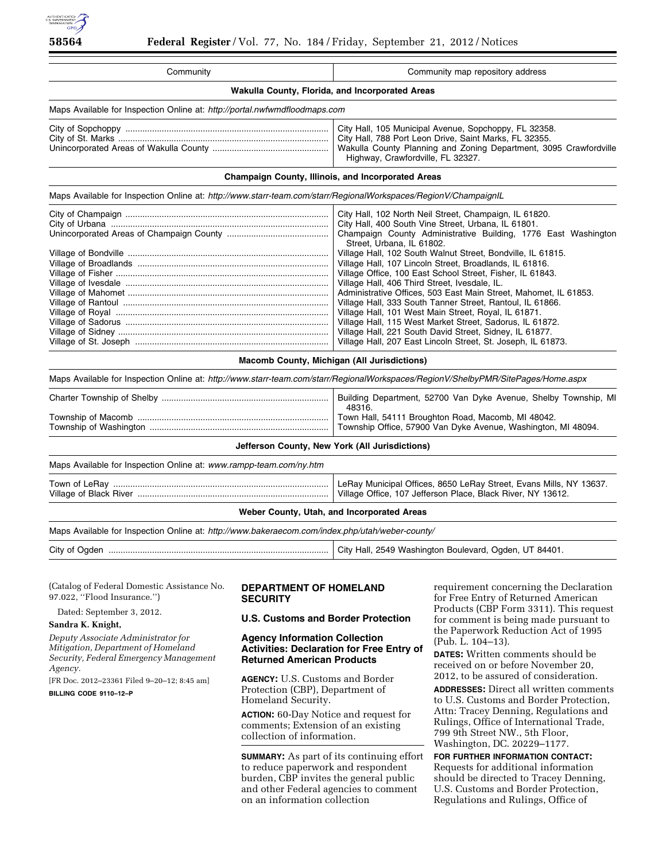

| Community                                                                                                                                                                        | Community map repository address                                                                                                                                                                                                                                                                                                                                                                                                                                                                                                                                                                                                                                                                                                                                                                                                     |
|----------------------------------------------------------------------------------------------------------------------------------------------------------------------------------|--------------------------------------------------------------------------------------------------------------------------------------------------------------------------------------------------------------------------------------------------------------------------------------------------------------------------------------------------------------------------------------------------------------------------------------------------------------------------------------------------------------------------------------------------------------------------------------------------------------------------------------------------------------------------------------------------------------------------------------------------------------------------------------------------------------------------------------|
| Wakulla County, Florida, and Incorporated Areas                                                                                                                                  |                                                                                                                                                                                                                                                                                                                                                                                                                                                                                                                                                                                                                                                                                                                                                                                                                                      |
| Maps Available for Inspection Online at: http://portal.nwfwmdfloodmaps.com                                                                                                       |                                                                                                                                                                                                                                                                                                                                                                                                                                                                                                                                                                                                                                                                                                                                                                                                                                      |
|                                                                                                                                                                                  | City Hall, 105 Municipal Avenue, Sopchoppy, FL 32358.<br>City Hall, 788 Port Leon Drive, Saint Marks, FL 32355.<br>Wakulla County Planning and Zoning Department, 3095 Crawfordville<br>Highway, Crawfordville, FL 32327.                                                                                                                                                                                                                                                                                                                                                                                                                                                                                                                                                                                                            |
| Champaign County, Illinois, and Incorporated Areas                                                                                                                               |                                                                                                                                                                                                                                                                                                                                                                                                                                                                                                                                                                                                                                                                                                                                                                                                                                      |
| Maps Available for Inspection Online at: http://www.starr-team.com/starr/RegionalWorkspaces/RegionV/ChampaignIL                                                                  |                                                                                                                                                                                                                                                                                                                                                                                                                                                                                                                                                                                                                                                                                                                                                                                                                                      |
|                                                                                                                                                                                  | City Hall, 102 North Neil Street, Champaign, IL 61820.<br>City Hall, 400 South Vine Street, Urbana, IL 61801.<br>Champaign County Administrative Building, 1776 East Washington<br>Street, Urbana, IL 61802.<br>Village Hall, 102 South Walnut Street, Bondville, IL 61815.<br>Village Hall, 107 Lincoln Street, Broadlands, IL 61816.<br>Village Office, 100 East School Street, Fisher, IL 61843.<br>Village Hall, 406 Third Street, Ivesdale, IL.<br>Administrative Offices, 503 East Main Street, Mahomet, IL 61853.<br>Village Hall, 333 South Tanner Street, Rantoul, IL 61866.<br>Village Hall, 101 West Main Street, Royal, IL 61871.<br>Village Hall, 115 West Market Street, Sadorus, IL 61872.<br>Village Hall, 221 South David Street, Sidney, IL 61877.<br>Village Hall, 207 East Lincoln Street, St. Joseph, IL 61873. |
| Macomb County, Michigan (All Jurisdictions)<br>Maps Available for Inspection Online at: http://www.starr-team.com/starr/RegionalWorkspaces/RegionV/ShelbyPMR/SitePages/Home.aspx |                                                                                                                                                                                                                                                                                                                                                                                                                                                                                                                                                                                                                                                                                                                                                                                                                                      |
|                                                                                                                                                                                  | Building Department, 52700 Van Dyke Avenue, Shelby Township, MI<br>48316.<br>Town Hall, 54111 Broughton Road, Macomb, MI 48042.<br>Township Office, 57900 Van Dyke Avenue, Washington, MI 48094.                                                                                                                                                                                                                                                                                                                                                                                                                                                                                                                                                                                                                                     |
| Jefferson County, New York (All Jurisdictions)                                                                                                                                   |                                                                                                                                                                                                                                                                                                                                                                                                                                                                                                                                                                                                                                                                                                                                                                                                                                      |
| Maps Available for Inspection Online at: www.rampp-team.com/ny.htm                                                                                                               |                                                                                                                                                                                                                                                                                                                                                                                                                                                                                                                                                                                                                                                                                                                                                                                                                                      |
|                                                                                                                                                                                  | LeRay Municipal Offices, 8650 LeRay Street, Evans Mills, NY 13637.<br>Village Office, 107 Jefferson Place, Black River, NY 13612.                                                                                                                                                                                                                                                                                                                                                                                                                                                                                                                                                                                                                                                                                                    |
| Weber County, Utah, and Incorporated Areas                                                                                                                                       |                                                                                                                                                                                                                                                                                                                                                                                                                                                                                                                                                                                                                                                                                                                                                                                                                                      |

| Maps Available for Inspection Online at: http://www.bakeraecom.com/index.php/utah/weber-county/ |                                                        |
|-------------------------------------------------------------------------------------------------|--------------------------------------------------------|
|                                                                                                 | City Hall, 2549 Washington Boulevard, Ogden, UT 84401. |

(Catalog of Federal Domestic Assistance No. 97.022, ''Flood Insurance.'')

Dated: September 3, 2012.

**Sandra K. Knight,** 

*Deputy Associate Administrator for Mitigation, Department of Homeland Security, Federal Emergency Management Agency.* 

[FR Doc. 2012–23361 Filed 9–20–12; 8:45 am]

**BILLING CODE 9110–12–P** 

## **DEPARTMENT OF HOMELAND SECURITY**

**U.S. Customs and Border Protection** 

## **Agency Information Collection Activities: Declaration for Free Entry of Returned American Products**

**AGENCY:** U.S. Customs and Border Protection (CBP), Department of Homeland Security.

**ACTION:** 60-Day Notice and request for comments; Extension of an existing collection of information.

**SUMMARY:** As part of its continuing effort to reduce paperwork and respondent burden, CBP invites the general public and other Federal agencies to comment on an information collection

requirement concerning the Declaration for Free Entry of Returned American Products (CBP Form 3311). This request for comment is being made pursuant to the Paperwork Reduction Act of 1995 (Pub. L. 104–13).

**DATES:** Written comments should be received on or before November 20, 2012, to be assured of consideration.

**ADDRESSES:** Direct all written comments to U.S. Customs and Border Protection, Attn: Tracey Denning, Regulations and Rulings, Office of International Trade, 799 9th Street NW., 5th Floor, Washington, DC. 20229–1177.

**FOR FURTHER INFORMATION CONTACT:**  Requests for additional information should be directed to Tracey Denning, U.S. Customs and Border Protection, Regulations and Rulings, Office of